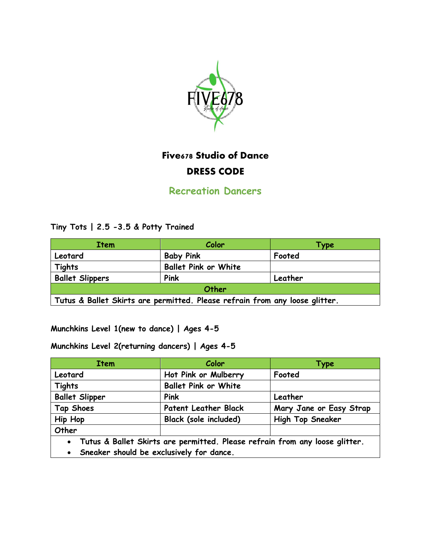

# **Five678 Studio of Dance DRESS CODE**

**Recreation Dancers** 

Tiny Tots | 2.5 -3.5 & Potty Trained

| <b>Item</b>                                                                 | Color                       | Type    |
|-----------------------------------------------------------------------------|-----------------------------|---------|
| Leotard                                                                     | <b>Baby Pink</b>            | Footed  |
| <b>Tights</b>                                                               | <b>Ballet Pink or White</b> |         |
| <b>Ballet Slippers</b>                                                      | Pink                        | Leather |
| Other                                                                       |                             |         |
| Tutus & Ballet Skirts are permitted. Please refrain from any loose glitter. |                             |         |

Munchkins Level 1(new to dance) | Ages 4-5

Munchkins Level 2(returning dancers) | Ages 4-5

| <b>Item</b>                                                                              | Color                        | Type                    |
|------------------------------------------------------------------------------------------|------------------------------|-------------------------|
| Leotard                                                                                  | Hot Pink or Mulberry         | Footed                  |
| <b>Tights</b>                                                                            | <b>Ballet Pink or White</b>  |                         |
| <b>Ballet Slipper</b>                                                                    | Pink                         | Leather                 |
| Tap Shoes                                                                                | <b>Patent Leather Black</b>  | Mary Jane or Easy Strap |
| <b>Hip Hop</b>                                                                           | <b>Black (sole included)</b> | High Top Sneaker        |
| Other                                                                                    |                              |                         |
| Tutus & Ballet Skirts are permitted. Please refrain from any loose glitter.<br>$\bullet$ |                              |                         |
| Sneaker should be exclusively for dance.                                                 |                              |                         |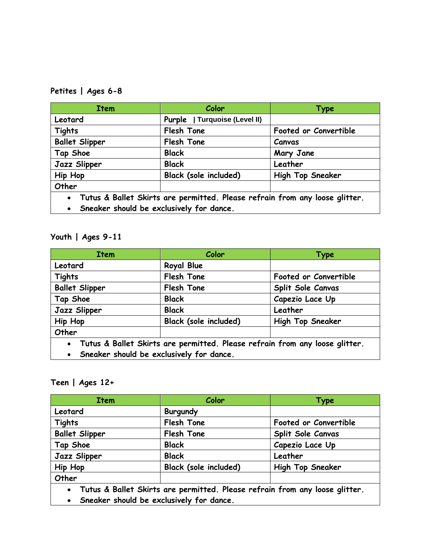## **Petites | Ages 6-8**

| <b>Item</b>                                                                              | Color                         | <b>Type</b>             |
|------------------------------------------------------------------------------------------|-------------------------------|-------------------------|
| Leotard                                                                                  | Purple   Turquoise (Level II) |                         |
| <b>Tights</b>                                                                            | Flesh Tone                    | Footed or Convertible   |
| <b>Ballet Slipper</b>                                                                    | Flesh Tone                    | Canvas                  |
| Tap Shoe                                                                                 | <b>Black</b>                  | Mary Jane               |
| Jazz Slipper                                                                             | <b>Black</b>                  | Leather                 |
| <b>Hip Hop</b>                                                                           | <b>Black (sole included)</b>  | <b>High Top Sneaker</b> |
| Other                                                                                    |                               |                         |
| Tutus & Ballet Skirts are permitted. Please refrain from any loose glitter.<br>$\bullet$ |                               |                         |
| Sneaker should be exclusively for dance.<br>$\bullet$                                    |                               |                         |

## **Youth | Ages 9-11**

| <b>Item</b>                                                                              | Color                        | <b>Type</b>             |
|------------------------------------------------------------------------------------------|------------------------------|-------------------------|
| Leotard                                                                                  | Royal Blue                   |                         |
| <b>Tights</b>                                                                            | Flesh Tone                   | Footed or Convertible   |
| <b>Ballet Slipper</b>                                                                    | Flesh Tone                   | Split Sole Canvas       |
| Tap Shoe                                                                                 | <b>Black</b>                 | Capezio Lace Up         |
| Jazz Slipper                                                                             | <b>Black</b>                 | Leather                 |
| <b>Hip Hop</b>                                                                           | <b>Black (sole included)</b> | <b>High Top Sneaker</b> |
| Other                                                                                    |                              |                         |
| Tutus & Ballet Skirts are permitted. Please refrain from any loose glitter.<br>$\bullet$ |                              |                         |
| Sneaker should be exclusively for dance.<br>$\bullet$                                    |                              |                         |

### **Teen | Ages 12+**

| <b>Item</b>            | Color                                    | Type                                                                        |
|------------------------|------------------------------------------|-----------------------------------------------------------------------------|
| Leotard                | <b>Burgundy</b>                          |                                                                             |
| <b>Tights</b>          | Flesh Tone                               | Footed or Convertible                                                       |
| <b>Ballet Slipper</b>  | Flesh Tone                               | Split Sole Canvas                                                           |
| Tap Shoe               | <b>Black</b>                             | Capezio Lace Up                                                             |
| Jazz Slipper           | <b>Black</b>                             | Leather                                                                     |
| <b>Hip Hop</b>         | <b>Black (sole included)</b>             | <b>High Top Sneaker</b>                                                     |
| Other                  |                                          |                                                                             |
| $\bullet$<br>$\bullet$ | Sneaker should be exclusively for dance. | Tutus & Ballet Skirts are permitted. Please refrain from any loose glitter. |